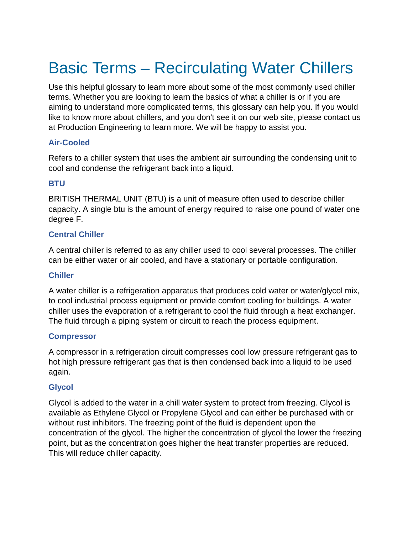# Basic Terms – Recirculating Water Chillers

Use this helpful glossary to learn more about some of the most commonly used chiller terms. Whether you are looking to learn the basics of what a chiller is or if you are aiming to understand more complicated terms, this glossary can help you. If you would like to know more about chillers, and you don't see it on our web site, please contact us at Production Engineering to learn more. We will be happy to assist you.

## **Air-Cooled**

Refers to a chiller system that uses the ambient air surrounding the condensing unit to cool and condense the refrigerant back into a liquid.

## **BTU**

BRITISH THERMAL UNIT (BTU) is a unit of measure often used to describe chiller capacity. A single btu is the amount of energy required to raise one pound of water one degree F.

## **Central Chiller**

A central chiller is referred to as any chiller used to cool several processes. The chiller can be either water or air cooled, and have a stationary or portable configuration.

## **Chiller**

A water chiller is a refrigeration apparatus that produces cold water or water/glycol mix, to cool industrial process equipment or provide comfort cooling for buildings. A water chiller uses the evaporation of a refrigerant to cool the fluid through a heat exchanger. The fluid through a piping system or circuit to reach the process equipment.

#### **Compressor**

A compressor in a refrigeration circuit compresses cool low pressure refrigerant gas to hot high pressure refrigerant gas that is then condensed back into a liquid to be used again.

## **Glycol**

Glycol is added to the water in a chill water system to protect from freezing. Glycol is available as Ethylene Glycol or Propylene Glycol and can either be purchased with or without rust inhibitors. The freezing point of the fluid is dependent upon the concentration of the glycol. The higher the concentration of glycol the lower the freezing point, but as the concentration goes higher the heat transfer properties are reduced. This will reduce chiller capacity.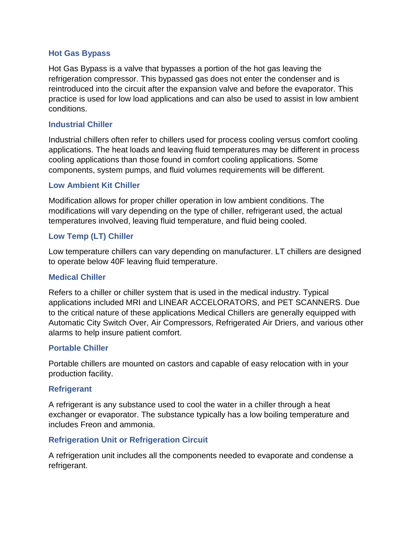#### **Hot Gas Bypass**

Hot Gas Bypass is a valve that bypasses a portion of the hot gas leaving the refrigeration compressor. This bypassed gas does not enter the condenser and is reintroduced into the circuit after the expansion valve and before the evaporator. This practice is used for low load applications and can also be used to assist in low ambient conditions.

#### **Industrial Chiller**

Industrial chillers often refer to chillers used for process cooling versus comfort cooling applications. The heat loads and leaving fluid temperatures may be different in process cooling applications than those found in comfort cooling applications. Some components, system pumps, and fluid volumes requirements will be different.

#### **Low Ambient Kit Chiller**

Modification allows for proper chiller operation in low ambient conditions. The modifications will vary depending on the type of chiller, refrigerant used, the actual temperatures involved, leaving fluid temperature, and fluid being cooled.

#### **Low Temp (LT) Chiller**

Low temperature chillers can vary depending on manufacturer. LT chillers are designed to operate below 40F leaving fluid temperature.

#### **Medical Chiller**

Refers to a chiller or chiller system that is used in the medical industry. Typical applications included MRI and LINEAR ACCELORATORS, and PET SCANNERS. Due to the critical nature of these applications Medical Chillers are generally equipped with Automatic City Switch Over, Air Compressors, Refrigerated Air Driers, and various other alarms to help insure patient comfort.

#### **Portable Chiller**

Portable chillers are mounted on castors and capable of easy relocation with in your production facility.

#### **Refrigerant**

A refrigerant is any substance used to cool the water in a chiller through a heat exchanger or evaporator. The substance typically has a low boiling temperature and includes Freon and ammonia.

#### **Refrigeration Unit or Refrigeration Circuit**

A refrigeration unit includes all the components needed to evaporate and condense a refrigerant.